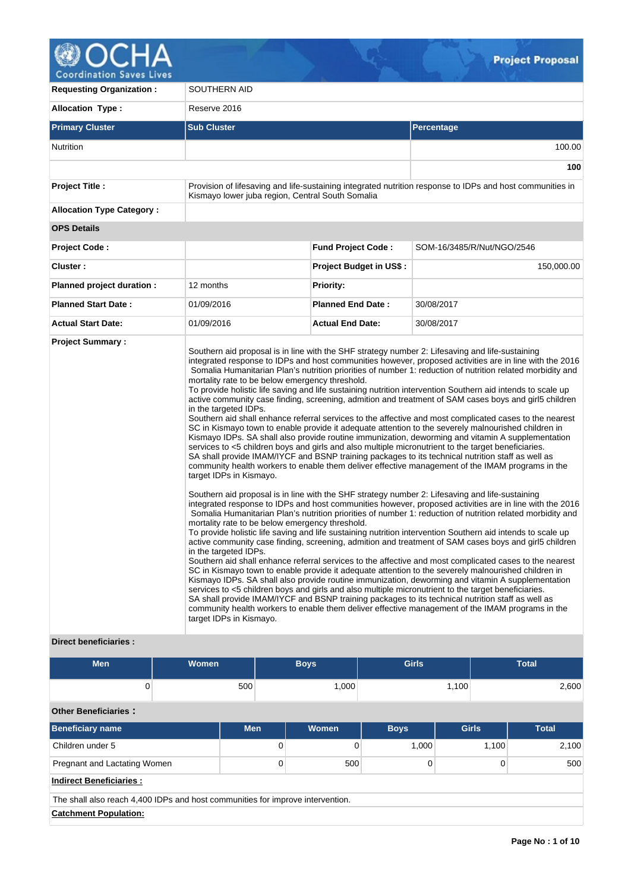

| <b>Requesting Organization:</b>                         | SOUTHERN AID                                                                                                                                                                                               |                                |                                                                                                                                                                                                                                                                                                                                                                                                                                                                                                                                                                                                                                                                                                                                                                                                                                                                                                                                                                                                                                                                                                                                                                                                                                                                                                                                                                                                                                                                                                                                                                                                                                                                                                                                                                                                                                                                                                                                                                                                                                                                                                                                                                                                                                                                                                                                                                                    |  |  |  |
|---------------------------------------------------------|------------------------------------------------------------------------------------------------------------------------------------------------------------------------------------------------------------|--------------------------------|------------------------------------------------------------------------------------------------------------------------------------------------------------------------------------------------------------------------------------------------------------------------------------------------------------------------------------------------------------------------------------------------------------------------------------------------------------------------------------------------------------------------------------------------------------------------------------------------------------------------------------------------------------------------------------------------------------------------------------------------------------------------------------------------------------------------------------------------------------------------------------------------------------------------------------------------------------------------------------------------------------------------------------------------------------------------------------------------------------------------------------------------------------------------------------------------------------------------------------------------------------------------------------------------------------------------------------------------------------------------------------------------------------------------------------------------------------------------------------------------------------------------------------------------------------------------------------------------------------------------------------------------------------------------------------------------------------------------------------------------------------------------------------------------------------------------------------------------------------------------------------------------------------------------------------------------------------------------------------------------------------------------------------------------------------------------------------------------------------------------------------------------------------------------------------------------------------------------------------------------------------------------------------------------------------------------------------------------------------------------------------|--|--|--|
| <b>Allocation Type:</b>                                 | Reserve 2016                                                                                                                                                                                               |                                |                                                                                                                                                                                                                                                                                                                                                                                                                                                                                                                                                                                                                                                                                                                                                                                                                                                                                                                                                                                                                                                                                                                                                                                                                                                                                                                                                                                                                                                                                                                                                                                                                                                                                                                                                                                                                                                                                                                                                                                                                                                                                                                                                                                                                                                                                                                                                                                    |  |  |  |
| <b>Primary Cluster</b>                                  | <b>Sub Cluster</b>                                                                                                                                                                                         | Percentage                     |                                                                                                                                                                                                                                                                                                                                                                                                                                                                                                                                                                                                                                                                                                                                                                                                                                                                                                                                                                                                                                                                                                                                                                                                                                                                                                                                                                                                                                                                                                                                                                                                                                                                                                                                                                                                                                                                                                                                                                                                                                                                                                                                                                                                                                                                                                                                                                                    |  |  |  |
| <b>Nutrition</b>                                        |                                                                                                                                                                                                            |                                | 100.00                                                                                                                                                                                                                                                                                                                                                                                                                                                                                                                                                                                                                                                                                                                                                                                                                                                                                                                                                                                                                                                                                                                                                                                                                                                                                                                                                                                                                                                                                                                                                                                                                                                                                                                                                                                                                                                                                                                                                                                                                                                                                                                                                                                                                                                                                                                                                                             |  |  |  |
|                                                         |                                                                                                                                                                                                            |                                | 100                                                                                                                                                                                                                                                                                                                                                                                                                                                                                                                                                                                                                                                                                                                                                                                                                                                                                                                                                                                                                                                                                                                                                                                                                                                                                                                                                                                                                                                                                                                                                                                                                                                                                                                                                                                                                                                                                                                                                                                                                                                                                                                                                                                                                                                                                                                                                                                |  |  |  |
| <b>Project Title:</b>                                   | Kismayo lower juba region, Central South Somalia                                                                                                                                                           |                                | Provision of lifesaving and life-sustaining integrated nutrition response to IDPs and host communities in                                                                                                                                                                                                                                                                                                                                                                                                                                                                                                                                                                                                                                                                                                                                                                                                                                                                                                                                                                                                                                                                                                                                                                                                                                                                                                                                                                                                                                                                                                                                                                                                                                                                                                                                                                                                                                                                                                                                                                                                                                                                                                                                                                                                                                                                          |  |  |  |
| <b>Allocation Type Category:</b>                        |                                                                                                                                                                                                            |                                |                                                                                                                                                                                                                                                                                                                                                                                                                                                                                                                                                                                                                                                                                                                                                                                                                                                                                                                                                                                                                                                                                                                                                                                                                                                                                                                                                                                                                                                                                                                                                                                                                                                                                                                                                                                                                                                                                                                                                                                                                                                                                                                                                                                                                                                                                                                                                                                    |  |  |  |
| <b>OPS Details</b>                                      |                                                                                                                                                                                                            |                                |                                                                                                                                                                                                                                                                                                                                                                                                                                                                                                                                                                                                                                                                                                                                                                                                                                                                                                                                                                                                                                                                                                                                                                                                                                                                                                                                                                                                                                                                                                                                                                                                                                                                                                                                                                                                                                                                                                                                                                                                                                                                                                                                                                                                                                                                                                                                                                                    |  |  |  |
| <b>Project Code:</b>                                    |                                                                                                                                                                                                            | <b>Fund Project Code:</b>      | SOM-16/3485/R/Nut/NGO/2546                                                                                                                                                                                                                                                                                                                                                                                                                                                                                                                                                                                                                                                                                                                                                                                                                                                                                                                                                                                                                                                                                                                                                                                                                                                                                                                                                                                                                                                                                                                                                                                                                                                                                                                                                                                                                                                                                                                                                                                                                                                                                                                                                                                                                                                                                                                                                         |  |  |  |
| Cluster:                                                |                                                                                                                                                                                                            | <b>Project Budget in US\$:</b> | 150,000.00                                                                                                                                                                                                                                                                                                                                                                                                                                                                                                                                                                                                                                                                                                                                                                                                                                                                                                                                                                                                                                                                                                                                                                                                                                                                                                                                                                                                                                                                                                                                                                                                                                                                                                                                                                                                                                                                                                                                                                                                                                                                                                                                                                                                                                                                                                                                                                         |  |  |  |
| Planned project duration :                              | 12 months                                                                                                                                                                                                  | <b>Priority:</b>               |                                                                                                                                                                                                                                                                                                                                                                                                                                                                                                                                                                                                                                                                                                                                                                                                                                                                                                                                                                                                                                                                                                                                                                                                                                                                                                                                                                                                                                                                                                                                                                                                                                                                                                                                                                                                                                                                                                                                                                                                                                                                                                                                                                                                                                                                                                                                                                                    |  |  |  |
| <b>Planned Start Date:</b>                              | 01/09/2016                                                                                                                                                                                                 | <b>Planned End Date:</b>       | 30/08/2017                                                                                                                                                                                                                                                                                                                                                                                                                                                                                                                                                                                                                                                                                                                                                                                                                                                                                                                                                                                                                                                                                                                                                                                                                                                                                                                                                                                                                                                                                                                                                                                                                                                                                                                                                                                                                                                                                                                                                                                                                                                                                                                                                                                                                                                                                                                                                                         |  |  |  |
| <b>Actual Start Date:</b>                               | 01/09/2016                                                                                                                                                                                                 | <b>Actual End Date:</b>        | 30/08/2017                                                                                                                                                                                                                                                                                                                                                                                                                                                                                                                                                                                                                                                                                                                                                                                                                                                                                                                                                                                                                                                                                                                                                                                                                                                                                                                                                                                                                                                                                                                                                                                                                                                                                                                                                                                                                                                                                                                                                                                                                                                                                                                                                                                                                                                                                                                                                                         |  |  |  |
| <b>Project Summary:</b><br><b>Direct beneficiaries:</b> | mortality rate to be below emergency threshold.<br>in the targeted IDPs.<br>target IDPs in Kismayo.<br>mortality rate to be below emergency threshold.<br>in the targeted IDPs.<br>target IDPs in Kismayo. |                                | Southern aid proposal is in line with the SHF strategy number 2: Lifesaving and life-sustaining<br>integrated response to IDPs and host communities however, proposed activities are in line with the 2016<br>Somalia Humanitarian Plan's nutrition priorities of number 1: reduction of nutrition related morbidity and<br>To provide holistic life saving and life sustaining nutrition intervention Southern aid intends to scale up<br>active community case finding, screening, admition and treatment of SAM cases boys and girl5 children<br>Southern aid shall enhance referral services to the affective and most complicated cases to the nearest<br>SC in Kismayo town to enable provide it adequate attention to the severely malnourished children in<br>Kismayo IDPs. SA shall also provide routine immunization, deworming and vitamin A supplementation<br>services to <5 children boys and girls and also multiple micronutrient to the target beneficiaries.<br>SA shall provide IMAM/IYCF and BSNP training packages to its technical nutrition staff as well as<br>community health workers to enable them deliver effective management of the IMAM programs in the<br>Southern aid proposal is in line with the SHF strategy number 2: Lifesaving and life-sustaining<br>integrated response to IDPs and host communities however, proposed activities are in line with the 2016<br>Somalia Humanitarian Plan's nutrition priorities of number 1: reduction of nutrition related morbidity and<br>To provide holistic life saving and life sustaining nutrition intervention Southern aid intends to scale up<br>active community case finding, screening, admition and treatment of SAM cases boys and girl5 children<br>Southern aid shall enhance referral services to the affective and most complicated cases to the nearest<br>SC in Kismayo town to enable provide it adequate attention to the severely malnourished children in<br>Kismayo IDPs. SA shall also provide routine immunization, deworming and vitamin A supplementation<br>services to <5 children boys and girls and also multiple micronutrient to the target beneficiaries.<br>SA shall provide IMAM/IYCF and BSNP training packages to its technical nutrition staff as well as<br>community health workers to enable them deliver effective management of the IMAM programs in the |  |  |  |

| <b>Men</b> | <b>Women</b> | <b>Boys</b> | <b>Girls</b> | <b>Total</b> |
|------------|--------------|-------------|--------------|--------------|
|            | 500          | ,000        | 1,100        | 2,600        |

# **Other Beneficiaries :**

| <b>Beneficiary name</b>                                                        | <b>Men</b> | Women | <b>Boys</b> | <b>Girls</b> | <b>Total</b> |  |  |  |  |  |
|--------------------------------------------------------------------------------|------------|-------|-------------|--------------|--------------|--|--|--|--|--|
| Children under 5                                                               | 0          |       | 1.000       | 1.100        | 2,100        |  |  |  |  |  |
| Pregnant and Lactating Women                                                   | 0          | 500   |             | 0            |              |  |  |  |  |  |
| <b>Indirect Beneficiaries:</b>                                                 |            |       |             |              |              |  |  |  |  |  |
| The shall also reach 4,400 IDPs and host communities for improve intervention. |            |       |             |              |              |  |  |  |  |  |
| <b>Catchment Population:</b>                                                   |            |       |             |              |              |  |  |  |  |  |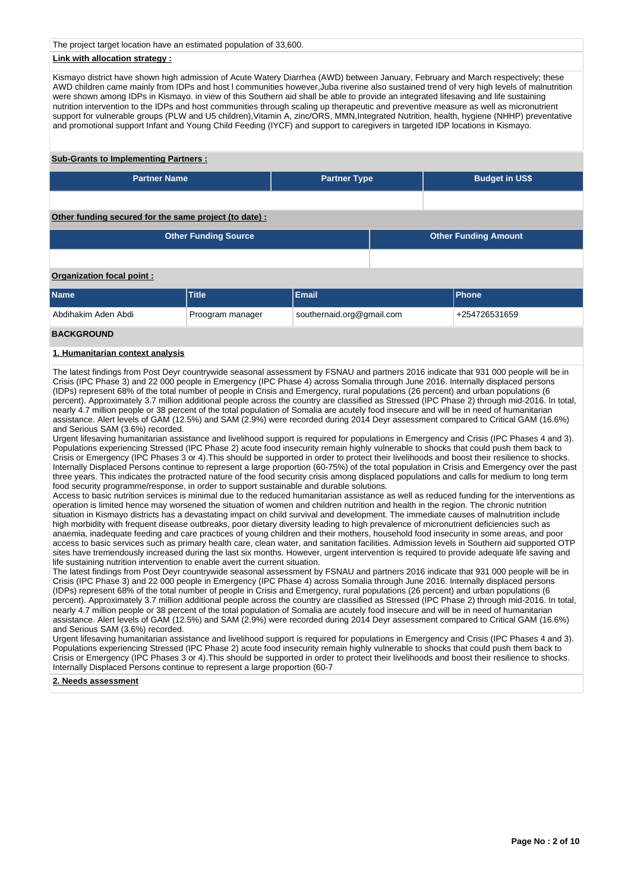The project target location have an estimated population of 33,600.

# **Link with allocation strategy :**

Kismayo district have shown high admission of Acute Watery Diarrhea (AWD) between January, February and March respectively; these AWD children came mainly from IDPs and host l communities however,Juba riverine also sustained trend of very high levels of malnutrition were shown among IDPs in Kismayo. in view of this Southern aid shall be able to provide an integrated lifesaving and life sustaining nutrition intervention to the IDPs and host communities through scaling up therapeutic and preventive measure as well as micronutrient support for vulnerable groups (PLW and U5 children), Vitamin A, zinc/ORS, MMN, Integrated Nutrition, health, hygiene (NHHP) preventative and promotional support Infant and Young Child Feeding (IYCF) and support to caregivers in targeted IDP locations in Kismayo.

### **Sub-Grants to Implementing Partners :**

| <b>Partner Type</b> | <b>Budget in US\$</b> |
|---------------------|-----------------------|
|                     |                       |

# **Other funding secured for the same project (to date) :**

| Other Funding Source | <b>Other Funding Amount</b> |
|----------------------|-----------------------------|
|                      |                             |

# **Organization focal point :**

| Name                             | Title            | Email                     | <b>IPhone</b> |
|----------------------------------|------------------|---------------------------|---------------|
| <sup>⊦</sup> Abdihakim Aden Abdi | Proogram manager | southernaid.org@gmail.com | +254726531659 |

# **BACKGROUND**

# **1. Humanitarian context analysis**

The latest findings from Post Deyr countrywide seasonal assessment by FSNAU and partners 2016 indicate that 931 000 people will be in Crisis (IPC Phase 3) and 22 000 people in Emergency (IPC Phase 4) across Somalia through June 2016. Internally displaced persons (IDPs) represent 68% of the total number of people in Crisis and Emergency, rural populations (26 percent) and urban populations (6 percent). Approximately 3.7 million additional people across the country are classified as Stressed (IPC Phase 2) through mid-2016. In total, nearly 4.7 million people or 38 percent of the total population of Somalia are acutely food insecure and will be in need of humanitarian assistance. Alert levels of GAM (12.5%) and SAM (2.9%) were recorded during 2014 Deyr assessment compared to Critical GAM (16.6%) and Serious SAM (3.6%) recorded.

Urgent lifesaving humanitarian assistance and livelihood support is required for populations in Emergency and Crisis (IPC Phases 4 and 3). Populations experiencing Stressed (IPC Phase 2) acute food insecurity remain highly vulnerable to shocks that could push them back to Crisis or Emergency (IPC Phases 3 or 4). This should be supported in order to protect their livelihoods and boost their resilience to shocks. Internally Displaced Persons continue to represent a large proportion (60-75%) of the total population in Crisis and Emergency over the past three years. This indicates the protracted nature of the food security crisis among displaced populations and calls for medium to long term food security programme/response, in order to support sustainable and durable solutions.

Access to basic nutrition services is minimal due to the reduced humanitarian assistance as well as reduced funding for the interventions as operation is limited hence may worsened the situation of women and children nutrition and health in the region. The chronic nutrition situation in Kismayo districts has a devastating impact on child survival and development. The immediate causes of malnutrition include high morbidity with frequent disease outbreaks, poor dietary diversity leading to high prevalence of micronutrient deficiencies such as anaemia, inadequate feeding and care practices of young children and their mothers, household food insecurity in some areas, and poor access to basic services such as primary health care, clean water, and sanitation facilities. Admission levels in Southern aid supported OTP sites have tremendously increased during the last six months. However, urgent intervention is required to provide adequate life saving and life sustaining nutrition intervention to enable avert the current situation.

The latest findings from Post Deyr countrywide seasonal assessment by FSNAU and partners 2016 indicate that 931 000 people will be in Crisis (IPC Phase 3) and 22 000 people in Emergency (IPC Phase 4) across Somalia through June 2016. Internally displaced persons (IDPs) represent 68% of the total number of people in Crisis and Emergency, rural populations (26 percent) and urban populations (6 percent). Approximately 3.7 million additional people across the country are classified as Stressed (IPC Phase 2) through mid-2016. In total, nearly 4.7 million people or 38 percent of the total population of Somalia are acutely food insecure and will be in need of humanitarian assistance. Alert levels of GAM (12.5%) and SAM (2.9%) were recorded during 2014 Deyr assessment compared to Critical GAM (16.6%) and Serious SAM (3.6%) recorded.

Urgent lifesaving humanitarian assistance and livelihood support is required for populations in Emergency and Crisis (IPC Phases 4 and 3). Populations experiencing Stressed (IPC Phase 2) acute food insecurity remain highly vulnerable to shocks that could push them back to Crisis or Emergency (IPC Phases 3 or 4).This should be supported in order to protect their livelihoods and boost their resilience to shocks. Internally Displaced Persons continue to represent a large proportion (60-7

#### **2. Needs assessment**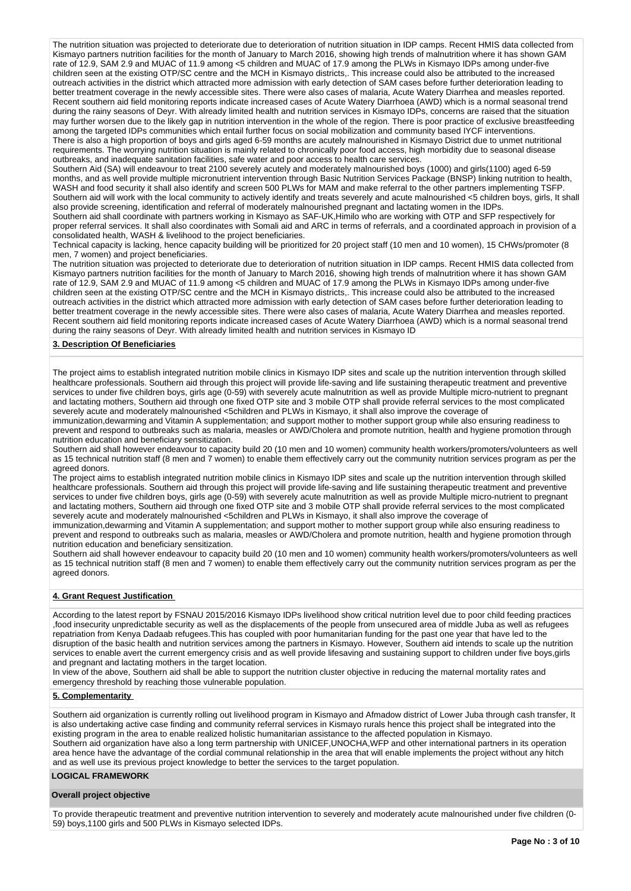The nutrition situation was projected to deteriorate due to deterioration of nutrition situation in IDP camps. Recent HMIS data collected from Kismayo partners nutrition facilities for the month of January to March 2016, showing high trends of malnutrition where it has shown GAM rate of 12.9, SAM 2.9 and MUAC of 11.9 among <5 children and MUAC of 17.9 among the PLWs in Kismayo IDPs among under-five children seen at the existing OTP/SC centre and the MCH in Kismayo districts,. This increase could also be attributed to the increased outreach activities in the district which attracted more admission with early detection of SAM cases before further deterioration leading to better treatment coverage in the newly accessible sites. There were also cases of malaria, Acute Watery Diarrhea and measles reported. Recent southern aid field monitoring reports indicate increased cases of Acute Watery Diarrhoea (AWD) which is a normal seasonal trend during the rainy seasons of Deyr. With already limited health and nutrition services in Kismayo IDPs, concerns are raised that the situation may further worsen due to the likely gap in nutrition intervention in the whole of the region. There is poor practice of exclusive breastfeeding among the targeted IDPs communities which entail further focus on social mobilization and community based IYCF interventions. There is also a high proportion of boys and girls aged 6-59 months are acutely malnourished in Kismayo District due to unmet nutritional requirements. The worrying nutrition situation is mainly related to chronically poor food access, high morbidity due to seasonal disease outbreaks, and inadequate sanitation facilities, safe water and poor access to health care services.

Southern Aid (SA) will endeavour to treat 2100 severely acutely and moderately malnourished boys (1000) and girls(1100) aged 6-59 months, and as well provide multiple micronutrient intervention through Basic Nutrition Services Package (BNSP) linking nutrition to health, WASH and food security it shall also identify and screen 500 PLWs for MAM and make referral to the other partners implementing TSFP. Southern aid will work with the local community to actively identify and treats severely and acute malnourished <5 children boys, girls, It shall also provide screening, identification and referral of moderately malnourished pregnant and lactating women in the IDPs.

Southern aid shall coordinate with partners working in Kismayo as SAF-UK,Himilo who are working with OTP and SFP respectively for proper referral services. It shall also coordinates with Somali aid and ARC in terms of referrals, and a coordinated approach in provision of a consolidated health, WASH & livelihood to the project beneficiaries.

Technical capacity is lacking, hence capacity building will be prioritized for 20 project staff (10 men and 10 women), 15 CHWs/promoter (8 men, 7 women) and project beneficiaries.

The nutrition situation was projected to deteriorate due to deterioration of nutrition situation in IDP camps. Recent HMIS data collected from Kismayo partners nutrition facilities for the month of January to March 2016, showing high trends of malnutrition where it has shown GAM rate of 12.9, SAM 2.9 and MUAC of 11.9 among <5 children and MUAC of 17.9 among the PLWs in Kismayo IDPs among under-five children seen at the existing OTP/SC centre and the MCH in Kismayo districts,. This increase could also be attributed to the increased outreach activities in the district which attracted more admission with early detection of SAM cases before further deterioration leading to better treatment coverage in the newly accessible sites. There were also cases of malaria, Acute Watery Diarrhea and measles reported. Recent southern aid field monitoring reports indicate increased cases of Acute Watery Diarrhoea (AWD) which is a normal seasonal trend during the rainy seasons of Deyr. With already limited health and nutrition services in Kismayo ID

### **3. Description Of Beneficiaries**

The project aims to establish integrated nutrition mobile clinics in Kismayo IDP sites and scale up the nutrition intervention through skilled healthcare professionals. Southern aid through this project will provide life-saving and life sustaining therapeutic treatment and preventive services to under five children boys, girls age (0-59) with severely acute malnutrition as well as provide Multiple micro-nutrient to pregnant and lactating mothers, Southern aid through one fixed OTP site and 3 mobile OTP shall provide referral services to the most complicated severely acute and moderately malnourished <5children and PLWs in Kismayo, it shall also improve the coverage of

immunization,dewarming and Vitamin A supplementation; and support mother to mother support group while also ensuring readiness to prevent and respond to outbreaks such as malaria, measles or AWD/Cholera and promote nutrition, health and hygiene promotion through nutrition education and beneficiary sensitization.

Southern aid shall however endeavour to capacity build 20 (10 men and 10 women) community health workers/promoters/volunteers as well as 15 technical nutrition staff (8 men and 7 women) to enable them effectively carry out the community nutrition services program as per the agreed donors.

The project aims to establish integrated nutrition mobile clinics in Kismayo IDP sites and scale up the nutrition intervention through skilled healthcare professionals. Southern aid through this project will provide life-saving and life sustaining therapeutic treatment and preventive services to under five children boys, girls age (0-59) with severely acute malnutrition as well as provide Multiple micro-nutrient to pregnant and lactating mothers, Southern aid through one fixed OTP site and 3 mobile OTP shall provide referral services to the most complicated severely acute and moderately malnourished <5children and PLWs in Kismayo, it shall also improve the coverage of

immunization,dewarming and Vitamin A supplementation; and support mother to mother support group while also ensuring readiness to prevent and respond to outbreaks such as malaria, measles or AWD/Cholera and promote nutrition, health and hygiene promotion through nutrition education and beneficiary sensitization.

Southern aid shall however endeavour to capacity build 20 (10 men and 10 women) community health workers/promoters/volunteers as well as 15 technical nutrition staff (8 men and 7 women) to enable them effectively carry out the community nutrition services program as per the agreed donors.

### **4. Grant Request Justification**

According to the latest report by FSNAU 2015/2016 Kismayo IDPs livelihood show critical nutrition level due to poor child feeding practices ,food insecurity unpredictable security as well as the displacements of the people from unsecured area of middle Juba as well as refugees repatriation from Kenya Dadaab refugees.This has coupled with poor humanitarian funding for the past one year that have led to the disruption of the basic health and nutrition services among the partners in Kismayo. However, Southern aid intends to scale up the nutrition services to enable avert the current emergency crisis and as well provide lifesaving and sustaining support to children under five boys,girls and pregnant and lactating mothers in the target location.

In view of the above, Southern aid shall be able to support the nutrition cluster objective in reducing the maternal mortality rates and emergency threshold by reaching those vulnerable population.

#### **5. Complementarity**

Southern aid organization is currently rolling out livelihood program in Kismayo and Afmadow district of Lower Juba through cash transfer, It is also undertaking active case finding and community referral services in Kismayo rurals hence this project shall be integrated into the existing program in the area to enable realized holistic humanitarian assistance to the affected population in Kismayo. Southern aid organization have also a long term partnership with UNICEF,UNOCHA,WFP and other international partners in its operation area hence have the advantage of the cordial communal relationship in the area that will enable implements the project without any hitch and as well use its previous project knowledge to better the services to the target population.

# **LOGICAL FRAMEWORK**

### **Overall project objective**

To provide therapeutic treatment and preventive nutrition intervention to severely and moderately acute malnourished under five children (0- 59) boys,1100 girls and 500 PLWs in Kismayo selected IDPs.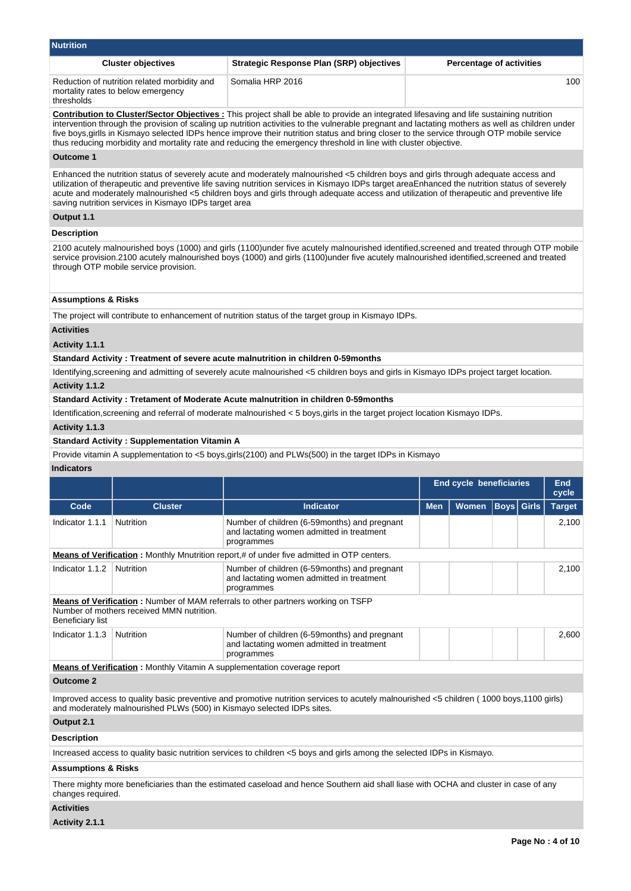| <b>Nutrition</b>                                                                                                                                                                                                                                                                                                                                                                                                                                                                                                                                                    |                                                                                    |                                                                                                                                                                                                                                                                                        |                                                |                                 |  |  |        |  |  |  |
|---------------------------------------------------------------------------------------------------------------------------------------------------------------------------------------------------------------------------------------------------------------------------------------------------------------------------------------------------------------------------------------------------------------------------------------------------------------------------------------------------------------------------------------------------------------------|------------------------------------------------------------------------------------|----------------------------------------------------------------------------------------------------------------------------------------------------------------------------------------------------------------------------------------------------------------------------------------|------------------------------------------------|---------------------------------|--|--|--------|--|--|--|
|                                                                                                                                                                                                                                                                                                                                                                                                                                                                                                                                                                     | <b>Cluster objectives</b>                                                          | <b>Strategic Response Plan (SRP) objectives</b>                                                                                                                                                                                                                                        |                                                | <b>Percentage of activities</b> |  |  |        |  |  |  |
| thresholds                                                                                                                                                                                                                                                                                                                                                                                                                                                                                                                                                          | Reduction of nutrition related morbidity and<br>mortality rates to below emergency | Somalia HRP 2016<br>100                                                                                                                                                                                                                                                                |                                                |                                 |  |  |        |  |  |  |
| <b>Contribution to Cluster/Sector Objectives:</b> This project shall be able to provide an integrated lifesaving and life sustaining nutrition<br>intervention through the provision of scaling up nutrition activities to the vulnerable pregnant and lactating mothers as well as children under<br>five boys, girlls in Kismayo selected IDPs hence improve their nutrition status and bring closer to the service through OTP mobile service<br>thus reducing morbidity and mortality rate and reducing the emergency threshold in line with cluster objective. |                                                                                    |                                                                                                                                                                                                                                                                                        |                                                |                                 |  |  |        |  |  |  |
| Outcome 1                                                                                                                                                                                                                                                                                                                                                                                                                                                                                                                                                           |                                                                                    |                                                                                                                                                                                                                                                                                        |                                                |                                 |  |  |        |  |  |  |
| Enhanced the nutrition status of severely acute and moderately malnourished <5 children boys and girls through adequate access and<br>utilization of therapeutic and preventive life saving nutrition services in Kismayo IDPs target areaEnhanced the nutrition status of severely<br>acute and moderately malnourished <5 children boys and girls through adequate access and utilization of therapeutic and preventive life<br>saving nutrition services in Kismayo IDPs target area                                                                             |                                                                                    |                                                                                                                                                                                                                                                                                        |                                                |                                 |  |  |        |  |  |  |
| Output 1.1                                                                                                                                                                                                                                                                                                                                                                                                                                                                                                                                                          |                                                                                    |                                                                                                                                                                                                                                                                                        |                                                |                                 |  |  |        |  |  |  |
| <b>Description</b>                                                                                                                                                                                                                                                                                                                                                                                                                                                                                                                                                  |                                                                                    |                                                                                                                                                                                                                                                                                        |                                                |                                 |  |  |        |  |  |  |
|                                                                                                                                                                                                                                                                                                                                                                                                                                                                                                                                                                     | through OTP mobile service provision.                                              | 2100 acutely malnourished boys (1000) and girls (1100)under five acutely malnourished identified, screened and treated through OTP mobile<br>service provision.2100 acutely malnourished boys (1000) and girls (1100) under five acutely malnourished identified, screened and treated |                                                |                                 |  |  |        |  |  |  |
| <b>Assumptions &amp; Risks</b>                                                                                                                                                                                                                                                                                                                                                                                                                                                                                                                                      |                                                                                    |                                                                                                                                                                                                                                                                                        |                                                |                                 |  |  |        |  |  |  |
|                                                                                                                                                                                                                                                                                                                                                                                                                                                                                                                                                                     |                                                                                    | The project will contribute to enhancement of nutrition status of the target group in Kismayo IDPs.                                                                                                                                                                                    |                                                |                                 |  |  |        |  |  |  |
| <b>Activities</b>                                                                                                                                                                                                                                                                                                                                                                                                                                                                                                                                                   |                                                                                    |                                                                                                                                                                                                                                                                                        |                                                |                                 |  |  |        |  |  |  |
| Activity 1.1.1                                                                                                                                                                                                                                                                                                                                                                                                                                                                                                                                                      |                                                                                    |                                                                                                                                                                                                                                                                                        |                                                |                                 |  |  |        |  |  |  |
|                                                                                                                                                                                                                                                                                                                                                                                                                                                                                                                                                                     |                                                                                    | Standard Activity: Treatment of severe acute malnutrition in children 0-59months                                                                                                                                                                                                       |                                                |                                 |  |  |        |  |  |  |
|                                                                                                                                                                                                                                                                                                                                                                                                                                                                                                                                                                     |                                                                                    | Identifying, screening and admitting of severely acute malnourished <5 children boys and girls in Kismayo IDPs project target location.                                                                                                                                                |                                                |                                 |  |  |        |  |  |  |
| Activity 1.1.2                                                                                                                                                                                                                                                                                                                                                                                                                                                                                                                                                      |                                                                                    |                                                                                                                                                                                                                                                                                        |                                                |                                 |  |  |        |  |  |  |
|                                                                                                                                                                                                                                                                                                                                                                                                                                                                                                                                                                     |                                                                                    | Standard Activity: Tretament of Moderate Acute malnutrition in children 0-59 months                                                                                                                                                                                                    |                                                |                                 |  |  |        |  |  |  |
|                                                                                                                                                                                                                                                                                                                                                                                                                                                                                                                                                                     |                                                                                    | Identification, screening and referral of moderate malnourished < 5 boys, girls in the target project location Kismayo IDPs.                                                                                                                                                           |                                                |                                 |  |  |        |  |  |  |
| Activity 1.1.3                                                                                                                                                                                                                                                                                                                                                                                                                                                                                                                                                      |                                                                                    |                                                                                                                                                                                                                                                                                        |                                                |                                 |  |  |        |  |  |  |
|                                                                                                                                                                                                                                                                                                                                                                                                                                                                                                                                                                     | <b>Standard Activity: Supplementation Vitamin A</b>                                |                                                                                                                                                                                                                                                                                        |                                                |                                 |  |  |        |  |  |  |
|                                                                                                                                                                                                                                                                                                                                                                                                                                                                                                                                                                     |                                                                                    | Provide vitamin A supplementation to <5 boys, girls(2100) and PLWs(500) in the target IDPs in Kismayo                                                                                                                                                                                  |                                                |                                 |  |  |        |  |  |  |
| <b>Indicators</b>                                                                                                                                                                                                                                                                                                                                                                                                                                                                                                                                                   |                                                                                    |                                                                                                                                                                                                                                                                                        |                                                |                                 |  |  |        |  |  |  |
|                                                                                                                                                                                                                                                                                                                                                                                                                                                                                                                                                                     |                                                                                    |                                                                                                                                                                                                                                                                                        | <b>End cycle beneficiaries</b><br>End<br>cycle |                                 |  |  |        |  |  |  |
| Code                                                                                                                                                                                                                                                                                                                                                                                                                                                                                                                                                                | <b>Cluster</b>                                                                     | Indicator                                                                                                                                                                                                                                                                              |                                                | Men   Women   Boys   Girls      |  |  | Target |  |  |  |
| Indicator 1.1.1                                                                                                                                                                                                                                                                                                                                                                                                                                                                                                                                                     | Nutrition                                                                          | Number of children (6-59 months) and pregnant<br>and lactating women admitted in treatment<br>programmes                                                                                                                                                                               |                                                |                                 |  |  | 2,100  |  |  |  |
|                                                                                                                                                                                                                                                                                                                                                                                                                                                                                                                                                                     |                                                                                    | <b>Means of Verification:</b> Monthly Mnutrition report,# of under five admitted in OTP centers.                                                                                                                                                                                       |                                                |                                 |  |  |        |  |  |  |
| Indicator 1.1.2<br>Nutrition<br>Number of children (6-59 months) and pregnant<br>2,100<br>and lactating women admitted in treatment<br>programmes                                                                                                                                                                                                                                                                                                                                                                                                                   |                                                                                    |                                                                                                                                                                                                                                                                                        |                                                |                                 |  |  |        |  |  |  |
|                                                                                                                                                                                                                                                                                                                                                                                                                                                                                                                                                                     | Number of mothers received MMN nutrition.                                          | <b>Means of Verification:</b> Number of MAM referrals to other partners working on TSFP                                                                                                                                                                                                |                                                |                                 |  |  |        |  |  |  |

**Beneficiary list** 

| $-$                                                                              |  |                                                                                                          |  |  |  |  |      |  |
|----------------------------------------------------------------------------------|--|----------------------------------------------------------------------------------------------------------|--|--|--|--|------|--|
| Indicator 1.1.3   Nutrition                                                      |  | Number of children (6-59 months) and pregnant<br>and lactating women admitted in treatment<br>programmes |  |  |  |  | :600 |  |
| Means of Varification $M$ Menthly Vitamin A quantum proportation coverage report |  |                                                                                                          |  |  |  |  |      |  |

**Means of Verification :** Monthly Vitamin A supplementation coverage report

# **Outcome 2**

Improved access to quality basic preventive and promotive nutrition services to acutely malnourished <5 children ( 1000 boys,1100 girls) and moderately malnourished PLWs (500) in Kismayo selected IDPs sites.

# **Output 2.1**

**Description**

Increased access to quality basic nutrition services to children <5 boys and girls among the selected IDPs in Kismayo.

# **Assumptions & Risks**

There mighty more beneficiaries than the estimated caseload and hence Southern aid shall liase with OCHA and cluster in case of any changes required.

# **Activities**

**Activity 2.1.1**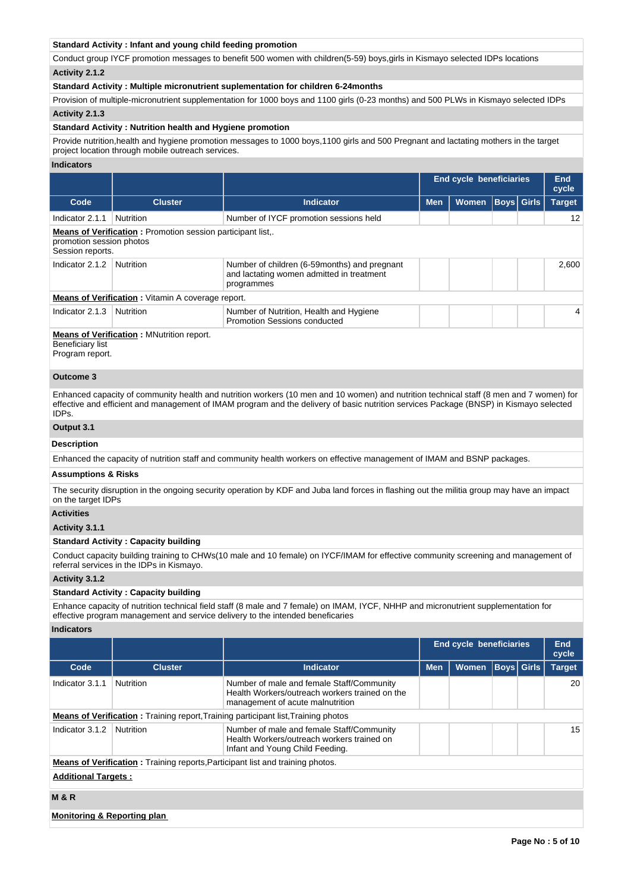# **Standard Activity : Infant and young child feeding promotion**

Conduct group IYCF promotion messages to benefit 500 women with children(5-59) boys,girls in Kismayo selected IDPs locations **Activity 2.1.2** 

### **Standard Activity : Multiple micronutrient suplementation for children 6-24months**

Provision of multiple-micronutrient supplementation for 1000 boys and 1100 girls (0-23 months) and 500 PLWs in Kismayo selected IDPs **Activity 2.1.3** 

### **Standard Activity : Nutrition health and Hygiene promotion**

Provide nutrition,health and hygiene promotion messages to 1000 boys,1100 girls and 500 Pregnant and lactating mothers in the target project location through mobile outreach services.

#### **Indicators**

|                                                                                                                  |                                                          |                                                                                                          | <b>End cycle beneficiaries</b> |       | <b>End</b><br>cycle |  |               |
|------------------------------------------------------------------------------------------------------------------|----------------------------------------------------------|----------------------------------------------------------------------------------------------------------|--------------------------------|-------|---------------------|--|---------------|
| Code                                                                                                             | <b>Cluster</b>                                           | <b>Indicator</b>                                                                                         | <b>Men</b>                     | Women | <b>Boys Girls</b>   |  | <b>Target</b> |
| Indicator 2.1.1                                                                                                  | Nutrition                                                | Number of IYCF promotion sessions held                                                                   |                                |       |                     |  | 12            |
| <b>Means of Verification:</b> Promotion session participant list<br>promotion session photos<br>Session reports. |                                                          |                                                                                                          |                                |       |                     |  |               |
| Indicator 2.1.2                                                                                                  | Nutrition                                                | Number of children (6-59 months) and pregnant<br>and lactating women admitted in treatment<br>programmes |                                |       |                     |  | 2.600         |
|                                                                                                                  | <b>Means of Verification:</b> Vitamin A coverage report. |                                                                                                          |                                |       |                     |  |               |
| Indicator 2.1.3                                                                                                  | Nutrition                                                | Number of Nutrition, Health and Hygiene<br>Promotion Sessions conducted                                  |                                |       |                     |  | 4             |
| Beneficiary list                                                                                                 | <b>Means of Verification: MNutrition report.</b>         |                                                                                                          |                                |       |                     |  |               |

Program report.

# **Outcome 3**

Enhanced capacity of community health and nutrition workers (10 men and 10 women) and nutrition technical staff (8 men and 7 women) for effective and efficient and management of IMAM program and the delivery of basic nutrition services Package (BNSP) in Kismayo selected IDPs.

# **Output 3.1**

# **Description**

Enhanced the capacity of nutrition staff and community health workers on effective management of IMAM and BSNP packages.

# **Assumptions & Risks**

The security disruption in the ongoing security operation by KDF and Juba land forces in flashing out the militia group may have an impact on the target IDPs

# **Activities**

#### **Activity 3.1.1**

#### **Standard Activity : Capacity building**

Conduct capacity building training to CHWs(10 male and 10 female) on IYCF/IMAM for effective community screening and management of referral services in the IDPs in Kismayo.

### **Activity 3.1.2**

### **Standard Activity : Capacity building**

Enhance capacity of nutrition technical field staff (8 male and 7 female) on IMAM, IYCF, NHHP and micronutrient supplementation for effective program management and service delivery to the intended beneficaries

#### **Indicators**

|                            |                  |                                                                                                                                 |            | <b>End cycle beneficiaries</b> |                   |  | End<br>cycle  |  |
|----------------------------|------------------|---------------------------------------------------------------------------------------------------------------------------------|------------|--------------------------------|-------------------|--|---------------|--|
| Code                       | <b>Cluster</b>   | <b>Indicator</b>                                                                                                                | <b>Men</b> | <b>Women</b>                   | <b>Boys Girls</b> |  | <b>Target</b> |  |
| Indicator 3.1.1            | <b>Nutrition</b> | Number of male and female Staff/Community<br>Health Workers/outreach workers trained on the<br>management of acute malnutrition |            |                                |                   |  | 20            |  |
|                            |                  | <b>Means of Verification:</b> Training report, Training participant list, Training photos                                       |            |                                |                   |  |               |  |
| Indicator 3.1.2            | <b>Nutrition</b> | Number of male and female Staff/Community<br>Health Workers/outreach workers trained on<br>Infant and Young Child Feeding.      |            |                                |                   |  | 15            |  |
|                            |                  | <b>Means of Verification:</b> Training reports, Participant list and training photos.                                           |            |                                |                   |  |               |  |
| <b>Additional Targets:</b> |                  |                                                                                                                                 |            |                                |                   |  |               |  |
| <b>M&amp;R</b>             |                  |                                                                                                                                 |            |                                |                   |  |               |  |

#### **Monitoring & Reporting plan**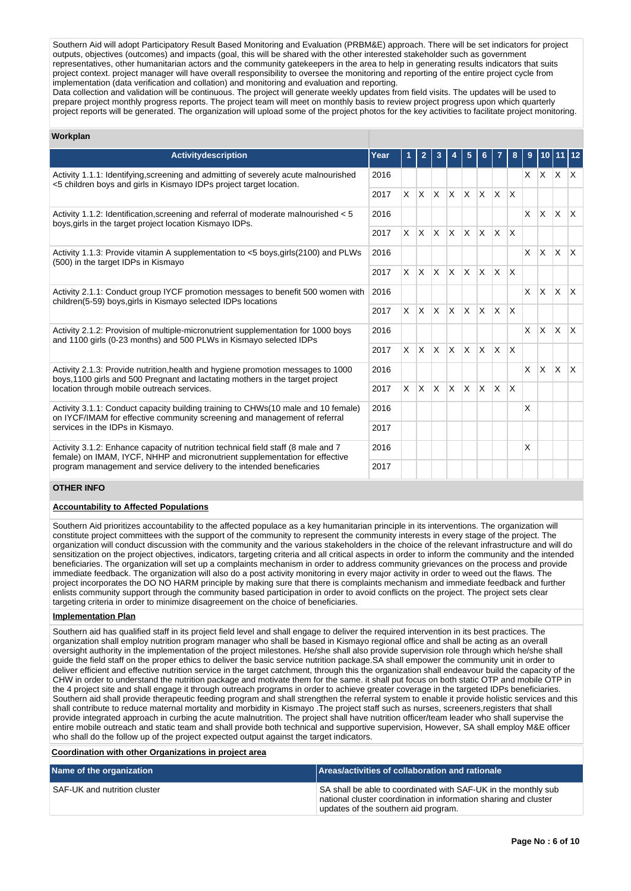Southern Aid will adopt Participatory Result Based Monitoring and Evaluation (PRBM&E) approach. There will be set indicators for project outputs, objectives (outcomes) and impacts (goal, this will be shared with the other interested stakeholder such as government representatives, other humanitarian actors and the community gatekeepers in the area to help in generating results indicators that suits project context. project manager will have overall responsibility to oversee the monitoring and reporting of the entire project cycle from implementation (data verification and collation) and monitoring and evaluation and reporting.

Data collection and validation will be continuous. The project will generate weekly updates from field visits. The updates will be used to prepare project monthly progress reports. The project team will meet on monthly basis to review project progress upon which quarterly project reports will be generated. The organization will upload some of the project photos for the key activities to facilitate project monitoring.

# **Workplan**

| <b>Activitydescription</b>                                                                                                                                        | Year |          |                   |              |              |                         |                         |              |              |              |              |              |              |
|-------------------------------------------------------------------------------------------------------------------------------------------------------------------|------|----------|-------------------|--------------|--------------|-------------------------|-------------------------|--------------|--------------|--------------|--------------|--------------|--------------|
| Activity 1.1.1: Identifying, screening and admitting of severely acute malnourished<br><5 children boys and girls in Kismayo IDPs project target location.        | 2016 |          |                   |              |              |                         |                         |              |              | X            |              | $ X $ $ X $  |              |
|                                                                                                                                                                   | 2017 |          | $x \mid x \mid x$ |              | $\mathsf{X}$ | ΙX.                     | $\mathsf{x}$            | ΙX.          | X            |              |              |              |              |
| Activity 1.1.2: Identification, screening and referral of moderate malnourished < 5<br>boys, girls in the target project location Kismayo IDPs.                   | 2016 |          |                   |              |              |                         |                         |              |              | $\times$     | <b>X</b>     | ΙX.          | ΙX.          |
|                                                                                                                                                                   | 2017 | $\times$ | $\mathsf{X}$      | $\mathsf{X}$ | <b>X</b>     | X                       | $\mathsf{x}$            | $\mathsf{X}$ | $\mathsf{X}$ |              |              |              |              |
| Activity 1.1.3: Provide vitamin A supplementation to <5 boys, girls (2100) and PLWs<br>(500) in the target IDPs in Kismayo                                        | 2016 |          |                   |              |              |                         |                         |              |              | $\mathsf{x}$ | $\mathsf{X}$ | X.           | $\mathsf{X}$ |
|                                                                                                                                                                   | 2017 | X.       | $\mathsf{X}$      | $\mathsf{X}$ | <b>X</b>     | ΙX.                     | $\times$                | $\mathsf{X}$ | X            |              |              |              |              |
| Activity 2.1.1: Conduct group IYCF promotion messages to benefit 500 women with<br>children(5-59) boys, girls in Kismayo selected IDPs locations                  | 2016 |          |                   |              |              |                         |                         |              |              | $\mathsf{x}$ | X            | ΙX.          | $\mathsf{X}$ |
|                                                                                                                                                                   | 2017 |          | $x \mid x$        | ΙX.          | <b>X</b>     | <b>X</b>                | ΙX.                     | ΙX.          | $\mathsf{X}$ |              |              |              |              |
| Activity 2.1.2: Provision of multiple-micronutrient supplementation for 1000 boys<br>and 1100 girls (0-23 months) and 500 PLWs in Kismayo selected IDPs           | 2016 |          |                   |              |              |                         |                         |              |              | $\times$     | $\mathsf{X}$ | $\mathsf{X}$ | $\mathsf{X}$ |
|                                                                                                                                                                   | 2017 | $\times$ | $\mathsf{X}$      | ΙX.          | X            | $\overline{\mathsf{x}}$ | $\mathsf{x}$            | ΙX.          | X            |              |              |              |              |
| Activity 2.1.3: Provide nutrition, health and hygiene promotion messages to 1000<br>boys, 1100 girls and 500 Pregnant and lactating mothers in the target project | 2016 |          |                   |              |              |                         |                         |              |              | $\mathsf{x}$ | <b>X</b>     | ΙX.          | $\mathsf{X}$ |
| location through mobile outreach services.                                                                                                                        | 2017 | $\times$ | X                 | X.           | X            | $\times$                | $\overline{\mathsf{x}}$ | ΙX           | $\times$     |              |              |              |              |
| Activity 3.1.1: Conduct capacity building training to CHWs (10 male and 10 female)<br>on IYCF/IMAM for effective community screening and management of referral   | 2016 |          |                   |              |              |                         |                         |              |              | X            |              |              |              |
| services in the IDPs in Kismayo.                                                                                                                                  | 2017 |          |                   |              |              |                         |                         |              |              |              |              |              |              |
| Activity 3.1.2: Enhance capacity of nutrition technical field staff (8 male and 7<br>female) on IMAM, IYCF, NHHP and micronutrient supplementation for effective  |      |          |                   |              |              |                         |                         |              |              | $\times$     |              |              |              |
| program management and service delivery to the intended beneficaries                                                                                              | 2017 |          |                   |              |              |                         |                         |              |              |              |              |              |              |

# **OTHER INFO**

# **Accountability to Affected Populations**

Southern Aid prioritizes accountability to the affected populace as a key humanitarian principle in its interventions. The organization will constitute project committees with the support of the community to represent the community interests in every stage of the project. The organization will conduct discussion with the community and the various stakeholders in the choice of the relevant infrastructure and will do sensitization on the project objectives, indicators, targeting criteria and all critical aspects in order to inform the community and the intended beneficiaries. The organization will set up a complaints mechanism in order to address community grievances on the process and provide immediate feedback. The organization will also do a post activity monitoring in every major activity in order to weed out the flaws. The project incorporates the DO NO HARM principle by making sure that there is complaints mechanism and immediate feedback and further enlists community support through the community based participation in order to avoid conflicts on the project. The project sets clear targeting criteria in order to minimize disagreement on the choice of beneficiaries.

### **Implementation Plan**

Southern aid has qualified staff in its project field level and shall engage to deliver the required intervention in its best practices. The organization shall employ nutrition program manager who shall be based in Kismayo regional office and shall be acting as an overall oversight authority in the implementation of the project milestones. He/she shall also provide supervision role through which he/she shall guide the field staff on the proper ethics to deliver the basic service nutrition package.SA shall empower the community unit in order to deliver efficient and effective nutrition service in the target catchment, through this the organization shall endeavour build the capacity of the CHW in order to understand the nutrition package and motivate them for the same. it shall put focus on both static OTP and mobile OTP in the 4 project site and shall engage it through outreach programs in order to achieve greater coverage in the targeted IDPs beneficiaries. Southern aid shall provide therapeutic feeding program and shall strengthen the referral system to enable it provide holistic services and this shall contribute to reduce maternal mortality and morbidity in Kismayo .The project staff such as nurses, screeners,registers that shall provide integrated approach in curbing the acute malnutrition. The project shall have nutrition officer/team leader who shall supervise the entire mobile outreach and static team and shall provide both technical and supportive supervision, However, SA shall employ M&E officer who shall do the follow up of the project expected output against the target indicators.

#### **Coordination with other Organizations in project area**

| Name of the organization     | <b>Areas/activities of collaboration and rationale</b>                                                                                                                     |
|------------------------------|----------------------------------------------------------------------------------------------------------------------------------------------------------------------------|
| SAF-UK and nutrition cluster | SA shall be able to coordinated with SAF-UK in the monthly sub<br>national cluster coordination in information sharing and cluster<br>updates of the southern aid program. |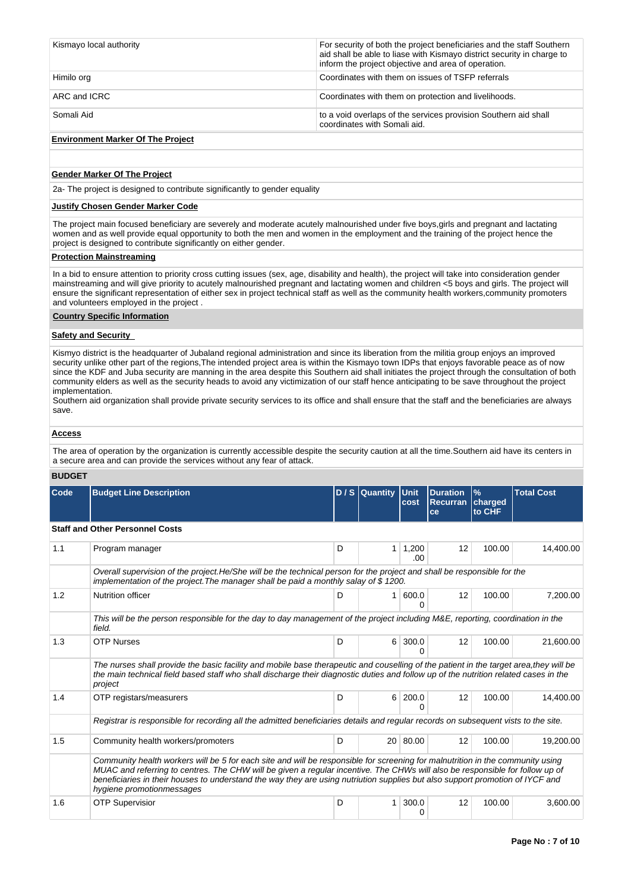| Kismayo local authority | For security of both the project beneficiaries and the staff Southern<br>aid shall be able to liase with Kismayo district security in charge to<br>inform the project objective and area of operation. |
|-------------------------|--------------------------------------------------------------------------------------------------------------------------------------------------------------------------------------------------------|
| Himilo org              | Coordinates with them on issues of TSFP referrals                                                                                                                                                      |
| ARC and ICRC            | Coordinates with them on protection and livelihoods.                                                                                                                                                   |
| Somali Aid              | to a void overlaps of the services provision Southern aid shall<br>coordinates with Somali aid.                                                                                                        |

# **Environment Marker Of The Project**

## **Gender Marker Of The Project**

2a- The project is designed to contribute significantly to gender equality

# **Justify Chosen Gender Marker Code**

The project main focused beneficiary are severely and moderate acutely malnourished under five boys,girls and pregnant and lactating women and as well provide equal opportunity to both the men and women in the employment and the training of the project hence the project is designed to contribute significantly on either gender.

# **Protection Mainstreaming**

In a bid to ensure attention to priority cross cutting issues (sex, age, disability and health), the project will take into consideration gender mainstreaming and will give priority to acutely malnourished pregnant and lactating women and children <5 boys and girls. The project will ensure the significant representation of either sex in project technical staff as well as the community health workers,community promoters and volunteers employed in the project .

### **Country Specific Information**

### **Safety and Security**

Kismyo district is the headquarter of Jubaland regional administration and since its liberation from the militia group enjoys an improved security unlike other part of the regions,The intended project area is within the Kismayo town IDPs that enjoys favorable peace as of now since the KDF and Juba security are manning in the area despite this Southern aid shall initiates the project through the consultation of both community elders as well as the security heads to avoid any victimization of our staff hence anticipating to be save throughout the project implementation.

Southern aid organization shall provide private security services to its office and shall ensure that the staff and the beneficiaries are always save.

# **Access**

The area of operation by the organization is currently accessible despite the security caution at all the time.Southern aid have its centers in a secure area and can provide the services without any fear of attack.

### **BUDGET**

| Code | <b>Budget Line Description</b>                                                                                                                                                                                                                                                                                                                                                                                               |   | D / S Quantity | Unit<br>cost | <b>Duration</b><br><b>Recurran   charged</b><br>ce | $\frac{9}{6}$<br>to CHF | <b>Total Cost</b> |  |
|------|------------------------------------------------------------------------------------------------------------------------------------------------------------------------------------------------------------------------------------------------------------------------------------------------------------------------------------------------------------------------------------------------------------------------------|---|----------------|--------------|----------------------------------------------------|-------------------------|-------------------|--|
|      | <b>Staff and Other Personnel Costs</b>                                                                                                                                                                                                                                                                                                                                                                                       |   |                |              |                                                    |                         |                   |  |
| 1.1  | Program manager                                                                                                                                                                                                                                                                                                                                                                                                              | D | 1 <sup>1</sup> | 1,200<br>.00 | 12                                                 | 100.00                  | 14,400.00         |  |
|      | Overall supervision of the project. He/She will be the technical person for the project and shall be responsible for the<br>implementation of the project. The manager shall be paid a monthly salay of \$1200.                                                                                                                                                                                                              |   |                |              |                                                    |                         |                   |  |
| 1.2  | <b>Nutrition officer</b>                                                                                                                                                                                                                                                                                                                                                                                                     | D | 1 <sup>1</sup> | 600.0<br>n   | 12                                                 | 100.00                  | 7,200.00          |  |
|      | This will be the person responsible for the day to day management of the project including M&E, reporting, coordination in the<br>field.                                                                                                                                                                                                                                                                                     |   |                |              |                                                    |                         |                   |  |
| 1.3  | <b>OTP Nurses</b>                                                                                                                                                                                                                                                                                                                                                                                                            | D | $6 \mid$       | 300.0<br>0   | 12                                                 | 100.00                  | 21,600.00         |  |
|      | The nurses shall provide the basic facility and mobile base therapeutic and couselling of the patient in the target area, they will be<br>the main technical field based staff who shall discharge their diagnostic duties and follow up of the nutrition related cases in the<br>project                                                                                                                                    |   |                |              |                                                    |                         |                   |  |
| 1.4  | OTP registars/measurers                                                                                                                                                                                                                                                                                                                                                                                                      | D | 6              | 200.0<br>0   | 12                                                 | 100.00                  | 14,400.00         |  |
|      | Registrar is responsible for recording all the admitted beneficiaries details and regular records on subsequent vists to the site.                                                                                                                                                                                                                                                                                           |   |                |              |                                                    |                         |                   |  |
| 1.5  | Community health workers/promoters                                                                                                                                                                                                                                                                                                                                                                                           | D |                | 20 80.00     | 12                                                 | 100.00                  | 19,200.00         |  |
|      | Community health workers will be 5 for each site and will be responsible for screening for malnutrition in the community using<br>MUAC and referring to centres. The CHW will be given a regular incentive. The CHWs will also be responsible for follow up of<br>beneficiaries in their houses to understand the way they are using nutriution supplies but also support promotion of IYCF and<br>hygiene promotionmessages |   |                |              |                                                    |                         |                   |  |
| 1.6  | <b>OTP Supervisior</b>                                                                                                                                                                                                                                                                                                                                                                                                       | D | $\mathbf{1}$   | 300.0<br>0   | 12                                                 | 100.00                  | 3,600.00          |  |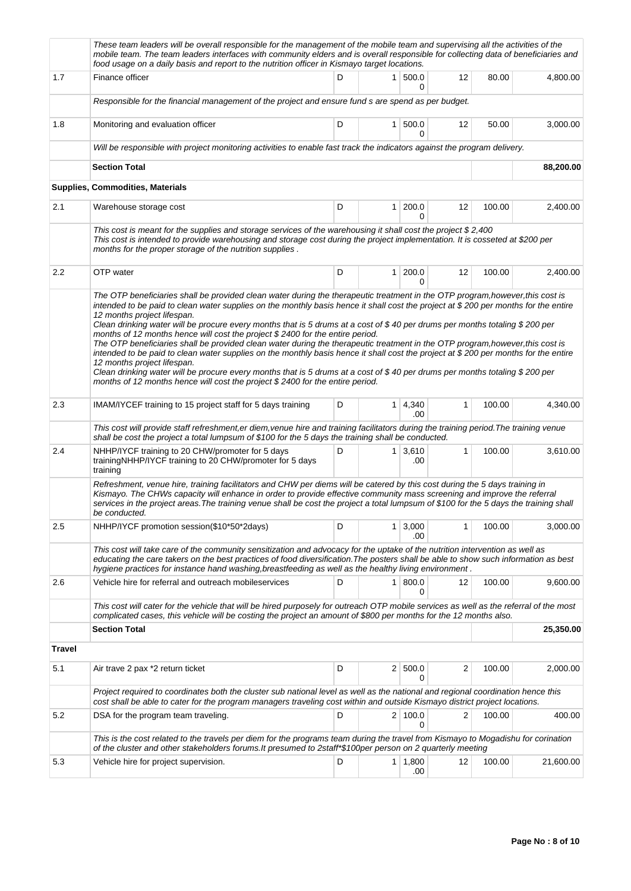|        | These team leaders will be overall responsible for the management of the mobile team and supervising all the activities of the<br>mobile team. The team leaders interfaces with community elders and is overall responsible for collecting data of beneficiaries and<br>food usage on a daily basis and report to the nutrition officer in Kismayo target locations.                                                                                                                                                                                                                                                                                                                                                                                                                                                                                                                                                                                                                                                                           |   |                |                |              |        |           |  |
|--------|------------------------------------------------------------------------------------------------------------------------------------------------------------------------------------------------------------------------------------------------------------------------------------------------------------------------------------------------------------------------------------------------------------------------------------------------------------------------------------------------------------------------------------------------------------------------------------------------------------------------------------------------------------------------------------------------------------------------------------------------------------------------------------------------------------------------------------------------------------------------------------------------------------------------------------------------------------------------------------------------------------------------------------------------|---|----------------|----------------|--------------|--------|-----------|--|
| 1.7    | Finance officer                                                                                                                                                                                                                                                                                                                                                                                                                                                                                                                                                                                                                                                                                                                                                                                                                                                                                                                                                                                                                                | D | 1 <sup>1</sup> | 500.0<br>0     | 12           | 80.00  | 4,800.00  |  |
|        | Responsible for the financial management of the project and ensure fund s are spend as per budget.                                                                                                                                                                                                                                                                                                                                                                                                                                                                                                                                                                                                                                                                                                                                                                                                                                                                                                                                             |   |                |                |              |        |           |  |
| 1.8    | Monitoring and evaluation officer                                                                                                                                                                                                                                                                                                                                                                                                                                                                                                                                                                                                                                                                                                                                                                                                                                                                                                                                                                                                              | D | 1              | 500.0<br>0     | 12           | 50.00  | 3,000.00  |  |
|        | Will be responsible with project monitoring activities to enable fast track the indicators against the program delivery.                                                                                                                                                                                                                                                                                                                                                                                                                                                                                                                                                                                                                                                                                                                                                                                                                                                                                                                       |   |                |                |              |        |           |  |
|        | <b>Section Total</b>                                                                                                                                                                                                                                                                                                                                                                                                                                                                                                                                                                                                                                                                                                                                                                                                                                                                                                                                                                                                                           |   |                |                |              |        | 88,200.00 |  |
|        | Supplies, Commodities, Materials                                                                                                                                                                                                                                                                                                                                                                                                                                                                                                                                                                                                                                                                                                                                                                                                                                                                                                                                                                                                               |   |                |                |              |        |           |  |
| 2.1    | Warehouse storage cost                                                                                                                                                                                                                                                                                                                                                                                                                                                                                                                                                                                                                                                                                                                                                                                                                                                                                                                                                                                                                         | D | $\mathbf{1}$   | 200.0<br>0     | 12           | 100.00 | 2,400.00  |  |
|        | This cost is meant for the supplies and storage services of the warehousing it shall cost the project $$2,400$<br>This cost is intended to provide warehousing and storage cost during the project implementation. It is cosseted at \$200 per<br>months for the proper storage of the nutrition supplies.                                                                                                                                                                                                                                                                                                                                                                                                                                                                                                                                                                                                                                                                                                                                     |   |                |                |              |        |           |  |
| 2.2    | OTP water                                                                                                                                                                                                                                                                                                                                                                                                                                                                                                                                                                                                                                                                                                                                                                                                                                                                                                                                                                                                                                      | D | $\mathbf{1}$   | 200.0<br>0     | 12           | 100.00 | 2,400.00  |  |
|        | The OTP beneficiaries shall be provided clean water during the therapeutic treatment in the OTP program, however, this cost is<br>intended to be paid to clean water supplies on the monthly basis hence it shall cost the project at \$200 per months for the entire<br>12 months project lifespan.<br>Clean drinking water will be procure every months that is 5 drums at a cost of \$40 per drums per months totaling \$200 per<br>months of 12 months hence will cost the project \$ 2400 for the entire period.<br>The OTP beneficiaries shall be provided clean water during the therapeutic treatment in the OTP program, however, this cost is<br>intended to be paid to clean water supplies on the monthly basis hence it shall cost the project at \$200 per months for the entire<br>12 months project lifespan.<br>Clean drinking water will be procure every months that is 5 drums at a cost of \$40 per drums per months totaling \$200 per<br>months of 12 months hence will cost the project \$ 2400 for the entire period. |   |                |                |              |        |           |  |
| 2.3    | IMAM/IYCEF training to 15 project staff for 5 days training                                                                                                                                                                                                                                                                                                                                                                                                                                                                                                                                                                                                                                                                                                                                                                                                                                                                                                                                                                                    | D | 1 <sup>1</sup> | 4,340<br>.00   | $\mathbf{1}$ | 100.00 | 4,340.00  |  |
|        | This cost will provide staff refreshment,er diem, venue hire and training facilitators during the training period. The training venue<br>shall be cost the project a total lumpsum of \$100 for the 5 days the training shall be conducted.                                                                                                                                                                                                                                                                                                                                                                                                                                                                                                                                                                                                                                                                                                                                                                                                    |   |                |                |              |        |           |  |
| 2.4    | NHHP/IYCF training to 20 CHW/promoter for 5 days<br>trainingNHHP/IYCF training to 20 CHW/promoter for 5 days<br>training                                                                                                                                                                                                                                                                                                                                                                                                                                                                                                                                                                                                                                                                                                                                                                                                                                                                                                                       | D | 1 <sup>1</sup> | 3,610<br>.00   | 1            | 100.00 | 3,610.00  |  |
|        | Refreshment, venue hire, training facilitators and CHW per diems will be catered by this cost during the 5 days training in<br>Kismayo. The CHWs capacity will enhance in order to provide effective community mass screening and improve the referral<br>services in the project areas. The training venue shall be cost the project a total lumpsum of \$100 for the 5 days the training shall<br>be conducted.                                                                                                                                                                                                                                                                                                                                                                                                                                                                                                                                                                                                                              |   |                |                |              |        |           |  |
| 2.5    | NHHP/IYCF promotion session(\$10*50*2days)                                                                                                                                                                                                                                                                                                                                                                                                                                                                                                                                                                                                                                                                                                                                                                                                                                                                                                                                                                                                     | D | 1              | 3,000<br>.00   | 1            | 100.00 | 3,000.00  |  |
|        | This cost will take care of the community sensitization and advocacy for the uptake of the nutrition intervention as well as<br>educating the care takers on the best practices of food diversification. The posters shall be able to show such information as best<br>hygiene practices for instance hand washing, breastfeeding as well as the healthy living environment.                                                                                                                                                                                                                                                                                                                                                                                                                                                                                                                                                                                                                                                                   |   |                |                |              |        |           |  |
| 2.6    | Vehicle hire for referral and outreach mobileservices                                                                                                                                                                                                                                                                                                                                                                                                                                                                                                                                                                                                                                                                                                                                                                                                                                                                                                                                                                                          | D | 1              | 800.0<br>0     | 12           | 100.00 | 9,600.00  |  |
|        | This cost will cater for the vehicle that will be hired purposely for outreach OTP mobile services as well as the referral of the most<br>complicated cases, this vehicle will be costing the project an amount of \$800 per months for the 12 months also.                                                                                                                                                                                                                                                                                                                                                                                                                                                                                                                                                                                                                                                                                                                                                                                    |   |                |                |              |        |           |  |
|        | <b>Section Total</b>                                                                                                                                                                                                                                                                                                                                                                                                                                                                                                                                                                                                                                                                                                                                                                                                                                                                                                                                                                                                                           |   |                |                |              |        | 25,350.00 |  |
| Travel |                                                                                                                                                                                                                                                                                                                                                                                                                                                                                                                                                                                                                                                                                                                                                                                                                                                                                                                                                                                                                                                |   |                |                |              |        |           |  |
| 5.1    | Air trave 2 pax *2 return ticket                                                                                                                                                                                                                                                                                                                                                                                                                                                                                                                                                                                                                                                                                                                                                                                                                                                                                                                                                                                                               | D |                | 2   500.0<br>0 | 2            | 100.00 | 2,000.00  |  |
|        | Project required to coordinates both the cluster sub national level as well as the national and regional coordination hence this<br>cost shall be able to cater for the program managers traveling cost within and outside Kismayo district project locations.                                                                                                                                                                                                                                                                                                                                                                                                                                                                                                                                                                                                                                                                                                                                                                                 |   |                |                |              |        |           |  |
| 5.2    | DSA for the program team traveling.                                                                                                                                                                                                                                                                                                                                                                                                                                                                                                                                                                                                                                                                                                                                                                                                                                                                                                                                                                                                            | D |                | 2 100.0<br>0   | 2            | 100.00 | 400.00    |  |
|        | This is the cost related to the travels per diem for the programs team during the travel from Kismayo to Mogadishu for corination<br>of the cluster and other stakeholders forums. It presumed to 2staff*\$100per person on 2 quarterly meeting                                                                                                                                                                                                                                                                                                                                                                                                                                                                                                                                                                                                                                                                                                                                                                                                |   |                |                |              |        |           |  |
| 5.3    | Vehicle hire for project supervision.                                                                                                                                                                                                                                                                                                                                                                                                                                                                                                                                                                                                                                                                                                                                                                                                                                                                                                                                                                                                          | D | 1              | 1,800<br>.00   | 12           | 100.00 | 21,600.00 |  |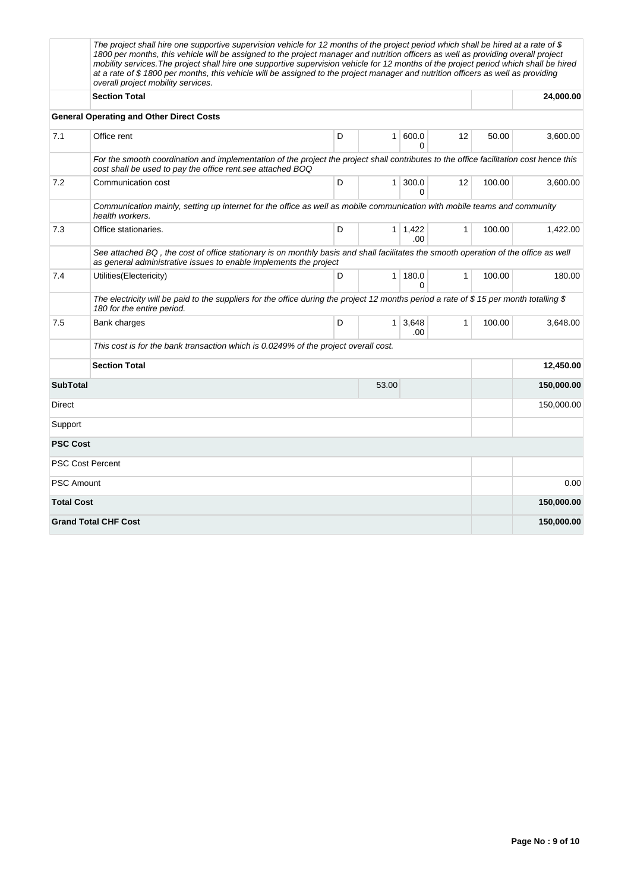|                   | The project shall hire one supportive supervision vehicle for 12 months of the project period which shall be hired at a rate of \$<br>1800 per months, this vehicle will be assigned to the project manager and nutrition officers as well as providing overall project<br>mobility services. The project shall hire one supportive supervision vehicle for 12 months of the project period which shall be hired<br>at a rate of \$1800 per months, this vehicle will be assigned to the project manager and nutrition officers as well as providing<br>overall project mobility services. |   |                |                        |              |        |            |
|-------------------|--------------------------------------------------------------------------------------------------------------------------------------------------------------------------------------------------------------------------------------------------------------------------------------------------------------------------------------------------------------------------------------------------------------------------------------------------------------------------------------------------------------------------------------------------------------------------------------------|---|----------------|------------------------|--------------|--------|------------|
|                   | <b>Section Total</b>                                                                                                                                                                                                                                                                                                                                                                                                                                                                                                                                                                       |   |                |                        |              |        | 24,000.00  |
|                   | <b>General Operating and Other Direct Costs</b>                                                                                                                                                                                                                                                                                                                                                                                                                                                                                                                                            |   |                |                        |              |        |            |
| 7.1               | Office rent                                                                                                                                                                                                                                                                                                                                                                                                                                                                                                                                                                                | D | 1 <sup>1</sup> | 600.0<br>0             | 12           | 50.00  | 3,600.00   |
|                   | For the smooth coordination and implementation of the project the project shall contributes to the office facilitation cost hence this<br>cost shall be used to pay the office rent see attached BOQ                                                                                                                                                                                                                                                                                                                                                                                       |   |                |                        |              |        |            |
| 7.2               | Communication cost                                                                                                                                                                                                                                                                                                                                                                                                                                                                                                                                                                         | D |                | 1 300.0<br>0           | 12           | 100.00 | 3,600.00   |
|                   | Communication mainly, setting up internet for the office as well as mobile communication with mobile teams and community<br>health workers.                                                                                                                                                                                                                                                                                                                                                                                                                                                |   |                |                        |              |        |            |
| 7.3               | Office stationaries.                                                                                                                                                                                                                                                                                                                                                                                                                                                                                                                                                                       | D |                | $1 \mid 1,422$<br>.00. | $\mathbf{1}$ | 100.00 | 1,422.00   |
|                   | See attached BQ, the cost of office stationary is on monthly basis and shall facilitates the smooth operation of the office as well<br>as general administrative issues to enable implements the project                                                                                                                                                                                                                                                                                                                                                                                   |   |                |                        |              |        |            |
| 7.4               | Utilities(Electericity)                                                                                                                                                                                                                                                                                                                                                                                                                                                                                                                                                                    | D |                | 1 180.0<br>$\Omega$    | $\mathbf{1}$ | 100.00 | 180.00     |
|                   | The electricity will be paid to the suppliers for the office during the project 12 months period a rate of \$15 per month totalling \$<br>180 for the entire period.                                                                                                                                                                                                                                                                                                                                                                                                                       |   |                |                        |              |        |            |
| 7.5               | Bank charges                                                                                                                                                                                                                                                                                                                                                                                                                                                                                                                                                                               | D |                | $1 \mid 3.648$<br>.00  | 1            | 100.00 | 3,648.00   |
|                   | This cost is for the bank transaction which is 0.0249% of the project overall cost.                                                                                                                                                                                                                                                                                                                                                                                                                                                                                                        |   |                |                        |              |        |            |
|                   | <b>Section Total</b>                                                                                                                                                                                                                                                                                                                                                                                                                                                                                                                                                                       |   |                |                        |              |        | 12,450.00  |
|                   | <b>SubTotal</b><br>53.00                                                                                                                                                                                                                                                                                                                                                                                                                                                                                                                                                                   |   |                |                        |              |        | 150,000.00 |
| Direct            |                                                                                                                                                                                                                                                                                                                                                                                                                                                                                                                                                                                            |   |                |                        |              |        | 150,000.00 |
| Support           |                                                                                                                                                                                                                                                                                                                                                                                                                                                                                                                                                                                            |   |                |                        |              |        |            |
| <b>PSC Cost</b>   |                                                                                                                                                                                                                                                                                                                                                                                                                                                                                                                                                                                            |   |                |                        |              |        |            |
|                   | <b>PSC Cost Percent</b>                                                                                                                                                                                                                                                                                                                                                                                                                                                                                                                                                                    |   |                |                        |              |        |            |
| <b>PSC Amount</b> |                                                                                                                                                                                                                                                                                                                                                                                                                                                                                                                                                                                            |   |                |                        |              |        | 0.00       |
| <b>Total Cost</b> |                                                                                                                                                                                                                                                                                                                                                                                                                                                                                                                                                                                            |   |                |                        |              |        | 150,000.00 |
|                   | <b>Grand Total CHF Cost</b>                                                                                                                                                                                                                                                                                                                                                                                                                                                                                                                                                                |   |                |                        |              |        | 150,000.00 |